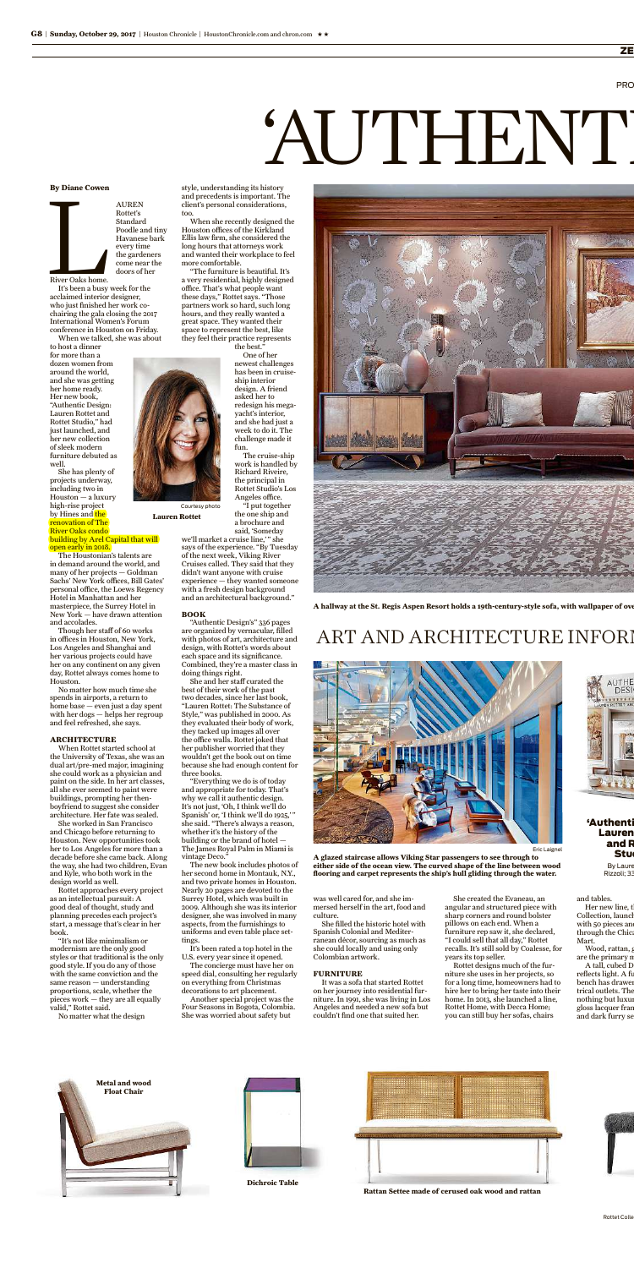River Oaks home.<br>
It's been a busy AUREN Rottet's Standard Poodle and tiny Havanese bark every time the gardeners come near the doors of her

River Oaks home. It's been a busy week for the acclaimed interior designer, who just finished her work cochairing the gala closing the 2017 International Women's Forum conference in Houston on Friday. When we talked, she was about to host a dinner

for more than a dozen women from around the world, and she was getting her home ready. Her new book, "Authentic Design: Lauren Rottet and Rottet Studio," had just launched, and her new collection of sleek modern furniture debuted as well. She has plenty of projects underway,

No matter how much time she spends in airports, a return to home base — even just a day spent with her dogs  $-$  helps her regroup

including two in Houston — a luxury high-rise project by Hines and <mark>the</mark> renovation of The River Oaks condo building by Arel Capital that will

open early in 2018. The Houstonian's talents are in demand around the world, and many of her projects — Goldman Sachs' New York offices, Bill Gates' personal office, the Loews Regency Hotel in Manhattan and her masterpiece, the Surrey Hotel in New York — have drawn attention

and accolades. Though her staff of 60 works in offices in Houston, New York, Los Angeles and Shanghai and her various projects could have her on any continent on any given day, Rottet always comes home to Houston.

and feel refreshed, she says.

#### **ARCHITECTURE**

When Rottet started school at the University of Texas, she was an dual art/pre-med major, imagining she could work as a physician and paint on the side. In her art classes, all she ever seemed to paint were buildings, prompting her thenboyfriend to suggest she consider architecture. Her fate was sealed.

we'll market a cruise line,'" she says of the experience. "By Tuesday of the next week, Viking River Cruises called. They said that they didn't want anyone with cruise experience — they wanted someone with a fresh design background and an architectural background."

She worked in San Francisco and Chicago before returning to Houston. New opportunities took her to Los Angeles for more than a decade before she came back. Along the way, she had two children, Evan and Kyle, who both work in the design world as well.

Rottet approaches every project as an intellectual pursuit: A good deal of thought, study and planning precedes each project's start, a message that's clear in her book.

"It's not like minimalism or modernism are the only good styles or that traditional is the only good style. If you do any of those with the same conviction and the same reason — understanding proportions, scale, whether the pieces work — they are all equally valid," Rottet said. No matter what the design

style, understanding its history and precedents is important. The client's personal considerations,

too.

When she recently designed the

Houston offices of the Kirkland Ellis law firm, she considered the long hours that attorneys work and wanted their workplace to feel more comfortable. "The furniture is beautiful. It's a very residential, highly designed office. That's what people want these days," Rottet says. "Those partners work so hard, such long hours, and they really wanted a great space. They wanted their space to represent the best, like

they feel their practice represents

Her new line, th Collection, launch with 50 pieces and through the Chica Mart. Wood, rattan, g are the primary n A tall, cubed D reflects light. A fu bench has drawer trical outlets. The nothing but luxur

the best." One of her newest challenges has been in cruiseship interior design. A friend asked her to redesign his megayacht's interior, and she had just a week to do it. The challenge made it fun. The cruise-ship work is handled by Richard Riveire, the principal in

#### 'Authenti Lauren and R

## **BOOK**

"Authentic Design's" 336 pages are organized by vernacular, filled with photos of art, architecture and design, with Rottet's words about each space and its significance. Combined, they're a master class in doing things right. She and her staff curated the

best of their work of the past two decades, since her last book, "Lauren Rottet: The Substance of Style," was published in 2000. As



they evaluated their body of work, they tacked up images all over the office walls. Rottet joked that her publisher worried that they wouldn't get the book out on time because she had enough content for three books.

"Everything we do is of today and appropriate for today. That's why we call it authentic design. It's not just, 'Oh, I think we'll do Spanish' or, 'I think we'll do 1925,' " she said. "There's always a reason, whether it's the history of the building or the brand of hotel — The James Royal Palm in Miami is

vintage Deco." The new book includes photos of her second home in Montauk, N.Y., and two private homes in Houston. Nearly 20 pages are devoted to the Surrey Hotel, which was built in 2009. Although she was its interior designer, she was involved in many aspects, from the furnishings to uniforms and even table place settings. It's been rated a top hotel in the

U.S. every year since it opened. The concierge must have her on speed dial, consulting her regularly on everything from Christmas decorations to art placement. Another special project was the

Rottet Studio's Los Angeles office. "I put together the one ship and a brochure and said, 'Someday **Lauren Rottet** Courtesy photo

She was worried about safety but

was well cared for, and she immersed herself in the art, food and culture.

She filled the historic hotel with Spanish Colonial and Mediterranean décor, sourcing as much as she could locally and using only Colombian artwork. **FURNITURE** It was a sofa that started Rottet

Four Seasons in Bogota, Colombia. on her journey into residential furniture. In 1991, she was living in Los Angeles and needed a new sofa but couldn't find one that suited her.



She created the Evaneau, an angular and structured piece with sharp corners and round bolster pillows on each end. When a furniture rep saw it, she declared, "I could sell that all day," Rottet recalls. It's still sold by Coalesse, for years its top seller. Rottet designs much of the furniture she uses in her projects, so for a long time, homeowners had to hire her to bring her taste into their home. In 2013, she launched a line, Rottet Home, with Decca Home; and tables. gloss lacquer frame

you can still buy her sofas, chairs

**A hallway at the St. Regis Aspen Resort holds a 19th-century-style sofa, with wallpaper of over**

## ART AND ARCHITECTURE INFORI





**A glazed staircase allows Viking Star passengers to see through to either side of the ocean view. The curved shape of the line between wood flooring and carpet represents the ship's hull gliding through the water.**

Stud By Laure Rizzoli; 33

and dark furry se

Eric Laignel

#### **By Diane Cowen**

**Metal and wood Float Chair**





ZE

# 'AUTHENT

**Montauk upholstered guest chair Cubist curved sofa**

**The Powerful C-Table**